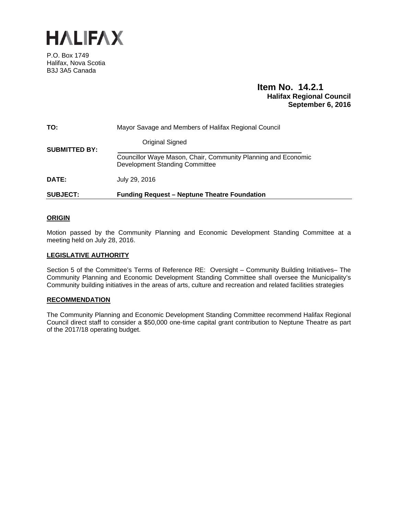

P.O. Box 1749 Halifax, Nova Scotia B3J 3A5 Canada

## **Item No. 14.2.1 Halifax Regional Council September 6, 2016**

| <b>SUBJECT:</b>      | <b>Funding Request - Neptune Theatre Foundation</b>                                                                              |
|----------------------|----------------------------------------------------------------------------------------------------------------------------------|
| <b>DATE:</b>         | July 29, 2016                                                                                                                    |
| <b>SUBMITTED BY:</b> | <b>Original Signed</b><br>Councillor Waye Mason, Chair, Community Planning and Economic<br><b>Development Standing Committee</b> |
| TO:                  | Mayor Savage and Members of Halifax Regional Council                                                                             |
|                      |                                                                                                                                  |

## **ORIGIN**

Motion passed by the Community Planning and Economic Development Standing Committee at a meeting held on July 28, 2016.

### **LEGISLATIVE AUTHORITY**

Section 5 of the Committee's Terms of Reference RE: Oversight – Community Building Initiatives– The Community Planning and Economic Development Standing Committee shall oversee the Municipality's Community building initiatives in the areas of arts, culture and recreation and related facilities strategies

#### **RECOMMENDATION**

The Community Planning and Economic Development Standing Committee recommend Halifax Regional Council direct staff to consider a \$50,000 one-time capital grant contribution to Neptune Theatre as part of the 2017/18 operating budget.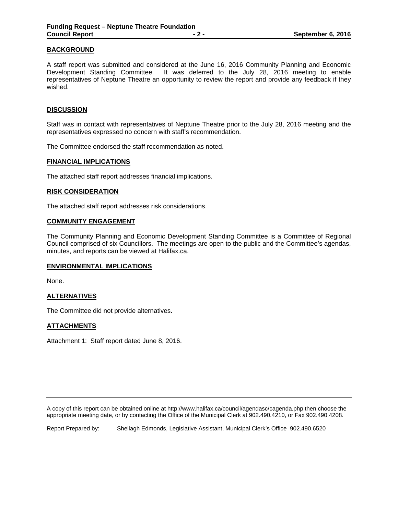## **BACKGROUND**

A staff report was submitted and considered at the June 16, 2016 Community Planning and Economic Development Standing Committee. It was deferred to the July 28, 2016 meeting to enable representatives of Neptune Theatre an opportunity to review the report and provide any feedback if they wished.

### **DISCUSSION**

Staff was in contact with representatives of Neptune Theatre prior to the July 28, 2016 meeting and the representatives expressed no concern with staff's recommendation.

The Committee endorsed the staff recommendation as noted.

#### **FINANCIAL IMPLICATIONS**

The attached staff report addresses financial implications.

#### **RISK CONSIDERATION**

The attached staff report addresses risk considerations.

#### **COMMUNITY ENGAGEMENT**

The Community Planning and Economic Development Standing Committee is a Committee of Regional Council comprised of six Councillors. The meetings are open to the public and the Committee's agendas, minutes, and reports can be viewed at Halifax.ca.

### **ENVIRONMENTAL IMPLICATIONS**

None.

### **ALTERNATIVES**

The Committee did not provide alternatives.

### **ATTACHMENTS**

Attachment 1: Staff report dated June 8, 2016.

A copy of this report can be obtained online at http://www.halifax.ca/council/agendasc/cagenda.php then choose the appropriate meeting date, or by contacting the Office of the Municipal Clerk at 902.490.4210, or Fax 902.490.4208.

Report Prepared by: Sheilagh Edmonds, Legislative Assistant, Municipal Clerk's Office 902.490.6520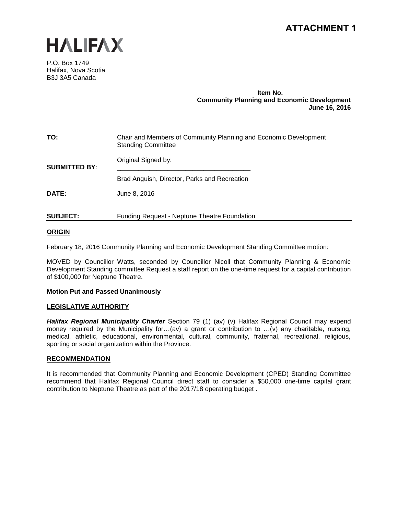# **ATTACHMENT 1**



P.O. Box 1749 Halifax, Nova Scotia B3J 3A5 Canada

### **Item No. Community Planning and Economic Development June 16, 2016**

| TO:                  | Chair and Members of Community Planning and Economic Development<br><b>Standing Committee</b> |  |
|----------------------|-----------------------------------------------------------------------------------------------|--|
| <b>SUBMITTED BY:</b> | Original Signed by:                                                                           |  |
|                      | Brad Anguish, Director, Parks and Recreation                                                  |  |
| DATE:                | June 8, 2016                                                                                  |  |
| <b>SUBJECT:</b>      | <b>Funding Request - Neptune Theatre Foundation</b>                                           |  |

## **ORIGIN**

February 18, 2016 Community Planning and Economic Development Standing Committee motion:

MOVED by Councillor Watts, seconded by Councillor Nicoll that Community Planning & Economic Development Standing committee Request a staff report on the one-time request for a capital contribution of \$100,000 for Neptune Theatre.

### **Motion Put and Passed Unanimously**

### **LEGISLATIVE AUTHORITY**

*Halifax Regional Municipality Charter* Section 79 (1) (av) (v) Halifax Regional Council may expend money required by the Municipality for…(av) a grant or contribution to …(v) any charitable, nursing, medical, athletic, educational, environmental, cultural, community, fraternal, recreational, religious, sporting or social organization within the Province.

### **RECOMMENDATION**

It is recommended that Community Planning and Economic Development (CPED) Standing Committee recommend that Halifax Regional Council direct staff to consider a \$50,000 one-time capital grant contribution to Neptune Theatre as part of the 2017/18 operating budget .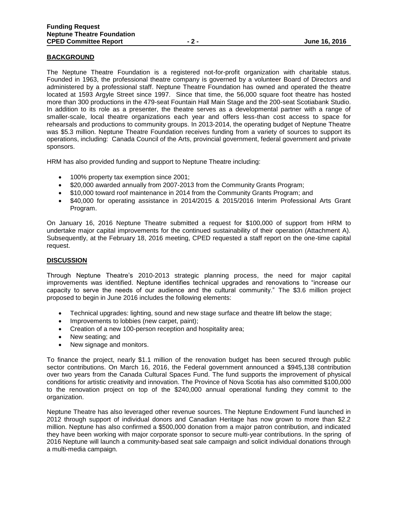## **BACKGROUND**

The Neptune Theatre Foundation is a registered not-for-profit organization with charitable status. Founded in 1963, the professional theatre company is governed by a volunteer Board of Directors and administered by a professional staff. Neptune Theatre Foundation has owned and operated the theatre located at 1593 Argyle Street since 1997. Since that time, the 56,000 square foot theatre has hosted more than 300 productions in the 479-seat Fountain Hall Main Stage and the 200-seat Scotiabank Studio. In addition to its role as a presenter, the theatre serves as a developmental partner with a range of smaller-scale, local theatre organizations each year and offers less-than cost access to space for rehearsals and productions to community groups. In 2013-2014, the operating budget of Neptune Theatre was \$5.3 million. Neptune Theatre Foundation receives funding from a variety of sources to support its operations, including: Canada Council of the Arts, provincial government, federal government and private sponsors.

HRM has also provided funding and support to Neptune Theatre including:

- 100% property tax exemption since 2001;
- \$20,000 awarded annually from 2007-2013 from the Community Grants Program;
- \$10,000 toward roof maintenance in 2014 from the Community Grants Program; and
- \$40,000 for operating assistance in 2014/2015 & 2015/2016 Interim Professional Arts Grant Program.

On January 16, 2016 Neptune Theatre submitted a request for \$100,000 of support from HRM to undertake major capital improvements for the continued sustainability of their operation (Attachment A). Subsequently, at the February 18, 2016 meeting, CPED requested a staff report on the one-time capital request.

## **DISCUSSION**

Through Neptune Theatre's 2010-2013 strategic planning process, the need for major capital improvements was identified. Neptune identifies technical upgrades and renovations to "increase our capacity to serve the needs of our audience and the cultural community." The \$3.6 million project proposed to begin in June 2016 includes the following elements:

- Technical upgrades: lighting, sound and new stage surface and theatre lift below the stage;
- Improvements to lobbies (new carpet, paint);
- Creation of a new 100-person reception and hospitality area;
- New seating; and
- New signage and monitors.

To finance the project, nearly \$1.1 million of the renovation budget has been secured through public sector contributions. On March 16, 2016, the Federal government announced a \$945,138 contribution over two years from the Canada Cultural Spaces Fund. The fund supports the improvement of physical conditions for artistic creativity and innovation. The Province of Nova Scotia has also committed \$100,000 to the renovation project on top of the \$240,000 annual operational funding they commit to the organization.

Neptune Theatre has also leveraged other revenue sources. The Neptune Endowment Fund launched in 2012 through support of individual donors and Canadian Heritage has now grown to more than \$2.2 million. Neptune has also confirmed a \$500,000 donation from a major patron contribution, and indicated they have been working with major corporate sponsor to secure multi-year contributions. In the spring of 2016 Neptune will launch a community-based seat sale campaign and solicit individual donations through a multi-media campaign.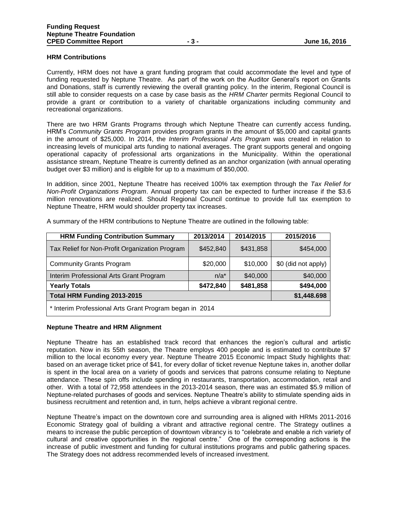### **HRM Contributions**

Currently, HRM does not have a grant funding program that could accommodate the level and type of funding requested by Neptune Theatre. As part of the work on the Auditor General's report on Grants and Donations, staff is currently reviewing the overall granting policy. In the interim, Regional Council is still able to consider requests on a case by case basis as the *HRM Charter* permits Regional Council to provide a grant or contribution to a variety of charitable organizations including community and recreational organizations.

There are two HRM Grants Programs through which Neptune Theatre can currently access funding**.**  HRM's *Community Grants Program* provides program grants in the amount of \$5,000 and capital grants in the amount of \$25,000. In 2014, the *Interim Professional Arts Program* was created in relation to increasing levels of municipal arts funding to national averages. The grant supports general and ongoing operational capacity of professional arts organizations in the Municipality. Within the operational assistance stream, Neptune Theatre is currently defined as an anchor organization (with annual operating budget over \$3 million) and is eligible for up to a maximum of \$50,000.

In addition, since 2001, Neptune Theatre has received 100% tax exemption through the *Tax Relief for Non-Profit Organizations Program*. Annual property tax can be expected to further increase if the \$3.6 million renovations are realized. Should Regional Council continue to provide full tax exemption to Neptune Theatre, HRM would shoulder property tax increases.

| <b>HRM Funding Contribution Summary</b>                 | 2013/2014   | 2014/2015 | 2015/2016           |  |
|---------------------------------------------------------|-------------|-----------|---------------------|--|
| Tax Relief for Non-Profit Organization Program          | \$452,840   | \$431,858 | \$454,000           |  |
| <b>Community Grants Program</b>                         | \$20,000    | \$10,000  | \$0 (did not apply) |  |
| Interim Professional Arts Grant Program                 | $n/a^*$     | \$40,000  | \$40,000            |  |
| <b>Yearly Totals</b>                                    | \$472,840   | \$481,858 | \$494,000           |  |
| Total HRM Funding 2013-2015                             | \$1,448.698 |           |                     |  |
| * Interim Professional Arts Grant Program began in 2014 |             |           |                     |  |

A summary of the HRM contributions to Neptune Theatre are outlined in the following table:

#### **Neptune Theatre and HRM Alignment**

Neptune Theatre has an established track record that enhances the region's cultural and artistic reputation. Now in its 55th season, the Theatre employs 400 people and is estimated to contribute \$7 million to the local economy every year. Neptune Theatre 2015 Economic Impact Study highlights that: based on an average ticket price of \$41, for every dollar of ticket revenue Neptune takes in, another dollar is spent in the local area on a variety of goods and services that patrons consume relating to Neptune attendance. These spin offs include spending in restaurants, transportation, accommodation, retail and other. With a total of 72,958 attendees in the 2013-2014 season, there was an estimated \$5.9 million of Neptune-related purchases of goods and services. Neptune Theatre's ability to stimulate spending aids in business recruitment and retention and, in turn, helps achieve a vibrant regional centre.

Neptune Theatre's impact on the downtown core and surrounding area is aligned with HRMs 2011-2016 Economic Strategy goal of building a vibrant and attractive regional centre. The Strategy outlines a means to increase the public perception of downtown vibrancy is to "celebrate and enable a rich variety of cultural and creative opportunities in the regional centre." One of the corresponding actions is the increase of public investment and funding for cultural institutions programs and public gathering spaces. The Strategy does not address recommended levels of increased investment.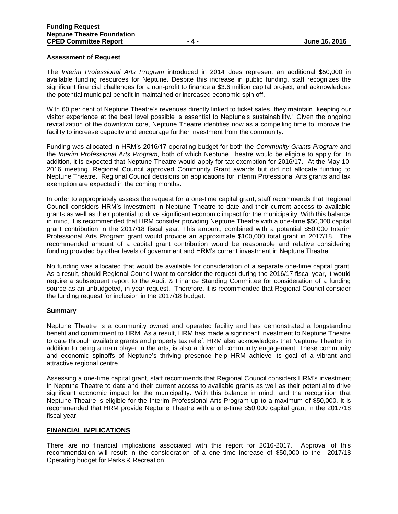## **Assessment of Request**

The *Interim Professional Arts Program* introduced in 2014 does represent an additional \$50,000 in available funding resources for Neptune. Despite this increase in public funding, staff recognizes the significant financial challenges for a non-profit to finance a \$3.6 million capital project, and acknowledges the potential municipal benefit in maintained or increased economic spin off.

With 60 per cent of Neptune Theatre's revenues directly linked to ticket sales, they maintain "keeping our visitor experience at the best level possible is essential to Neptune's sustainability." Given the ongoing revitalization of the downtown core, Neptune Theatre identifies now as a compelling time to improve the facility to increase capacity and encourage further investment from the community.

Funding was allocated in HRM's 2016/17 operating budget for both the *Community Grants Program* and the *Interim Professional Arts Program,* both of which Neptune Theatre would be eligible to apply for. In addition, it is expected that Neptune Theatre would apply for tax exemption for 2016/17. At the May 10, 2016 meeting, Regional Council approved Community Grant awards but did not allocate funding to Neptune Theatre. Regional Council decisions on applications for Interim Professional Arts grants and tax exemption are expected in the coming months.

In order to appropriately assess the request for a one-time capital grant, staff recommends that Regional Council considers HRM's investment in Neptune Theatre to date and their current access to available grants as well as their potential to drive significant economic impact for the municipality. With this balance in mind, it is recommended that HRM consider providing Neptune Theatre with a one-time \$50,000 capital grant contribution in the 2017/18 fiscal year. This amount, combined with a potential \$50,000 Interim Professional Arts Program grant would provide an approximate \$100,000 total grant in 2017/18. The recommended amount of a capital grant contribution would be reasonable and relative considering funding provided by other levels of government and HRM's current investment in Neptune Theatre.

No funding was allocated that would be available for consideration of a separate one-time capital grant. As a result, should Regional Council want to consider the request during the 2016/17 fiscal year, it would require a subsequent report to the Audit & Finance Standing Committee for consideration of a funding source as an unbudgeted, in-year request, Therefore, it is recommended that Regional Council consider the funding request for inclusion in the 2017/18 budget.

#### **Summary**

Neptune Theatre is a community owned and operated facility and has demonstrated a longstanding benefit and commitment to HRM. As a result, HRM has made a significant investment to Neptune Theatre to date through available grants and property tax relief. HRM also acknowledges that Neptune Theatre, in addition to being a main player in the arts, is also a driver of community engagement. These community and economic spinoffs of Neptune's thriving presence help HRM achieve its goal of a vibrant and attractive regional centre.

Assessing a one-time capital grant, staff recommends that Regional Council considers HRM's investment in Neptune Theatre to date and their current access to available grants as well as their potential to drive significant economic impact for the municipality. With this balance in mind, and the recognition that Neptune Theatre is eligible for the Interim Professional Arts Program up to a maximum of \$50,000, it is recommended that HRM provide Neptune Theatre with a one-time \$50,000 capital grant in the 2017/18 fiscal year.

#### **FINANCIAL IMPLICATIONS**

There are no financial implications associated with this report for 2016-2017. Approval of this recommendation will result in the consideration of a one time increase of \$50,000 to the 2017/18 Operating budget for Parks & Recreation.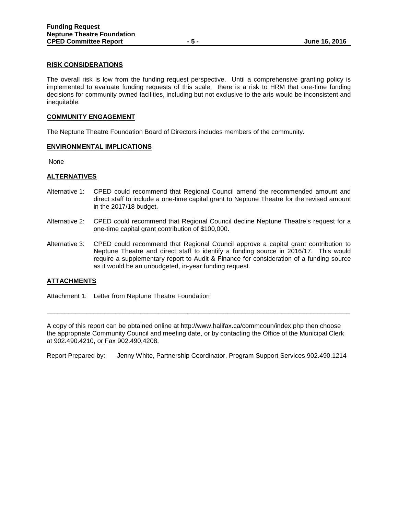### **RISK CONSIDERATIONS**

The overall risk is low from the funding request perspective. Until a comprehensive granting policy is implemented to evaluate funding requests of this scale, there is a risk to HRM that one-time funding decisions for community owned facilities, including but not exclusive to the arts would be inconsistent and inequitable.

#### **COMMUNITY ENGAGEMENT**

The Neptune Theatre Foundation Board of Directors includes members of the community.

#### **ENVIRONMENTAL IMPLICATIONS**

None

#### **ALTERNATIVES**

- Alternative 1: CPED could recommend that Regional Council amend the recommended amount and direct staff to include a one-time capital grant to Neptune Theatre for the revised amount in the 2017/18 budget.
- Alternative 2: CPED could recommend that Regional Council decline Neptune Theatre's request for a one-time capital grant contribution of \$100,000.
- Alternative 3: CPED could recommend that Regional Council approve a capital grant contribution to Neptune Theatre and direct staff to identify a funding source in 2016/17. This would require a supplementary report to Audit & Finance for consideration of a funding source as it would be an unbudgeted, in-year funding request.

### **ATTACHMENTS**

Attachment 1: Letter from Neptune Theatre Foundation

A copy of this report can be obtained online at http://www.halifax.ca/commcoun/index.php then choose the appropriate Community Council and meeting date, or by contacting the Office of the Municipal Clerk at 902.490.4210, or Fax 902.490.4208.

\_\_\_\_\_\_\_\_\_\_\_\_\_\_\_\_\_\_\_\_\_\_\_\_\_\_\_\_\_\_\_\_\_\_\_\_\_\_\_\_\_\_\_\_\_\_\_\_\_\_\_\_\_\_\_\_\_\_\_\_\_\_\_\_\_\_\_\_\_\_\_\_\_\_\_\_\_\_\_\_\_\_\_\_

Report Prepared by: Jenny White, Partnership Coordinator, Program Support Services 902.490.1214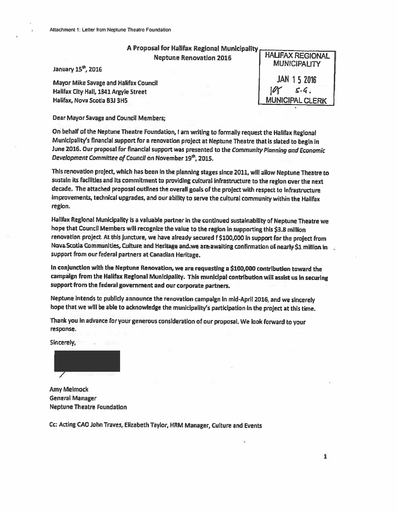January 15<sup>th</sup>, 2016

Mayor Mike Savage and Halifax Council Halifax City Hall, 1841 Argyle Street Halifax, Nova Scotla B3J 3H5

**HALIFAX REGIONAL MUNICIPALITY** jan 1.5 2016 IUT **MUNICIPAL CLERK** 

Dear Mayor Savage and Council Members;

On behalf of the Neptune Theatre Foundation, I am writing to formally request the Halifax Regional Municipality's financial support for a renovation project at Neptune Theatre that is slated to begin in June 2016. Our proposal for financial support was presented to the Community Planning and Economic Development Committee of Council on November 19th, 2015.

This renovation project, which has been in the planning stages since 2011, will allow Neptune Theatre to sustain its facilities and its commitment to providing cultural infrastructure to the region over the next decade. The attached proposal outlines the overall goals of the project with respect to infrastructure improvements, technical upgrades, and our ability to serve the cultural community within the Halifax region.

Hallfax Regional Municipality is a valuable partner in the continued sustainability of Neptune Theatre we hope that Council Members will recognize the value to the region in supporting this \$3.8 million renovation project. At this juncture, we have already secured f \$100,000 in support for the project from Nova Scotia Communities, Culture and Heritage and we are awaiting confirmation of nearly \$1 million in support from our federal partners at Canadian Heritage.

In conjunction with the Neptune Renovation, we are requesting a \$100,000 contribution toward the campaign from the Halifax Regional Municipality. This municipal contribution will assist us in securing support from the federal government and our corporate partners.

Neptune intends to publicly announce the renovation campaign in mid-April 2016, and we sincerely hope that we will be able to acknowledge the municipality's participation in the project at this time.

Thank you in advance for your generous consideration of our proposal. We look forward to your response.

Sincerely,

**Amy Melmock** General Manager **Neptune Theatre Foundation** 

Cc: Acting CAO John Traves, Elizabeth Taylor, HRM Manager, Culture and Events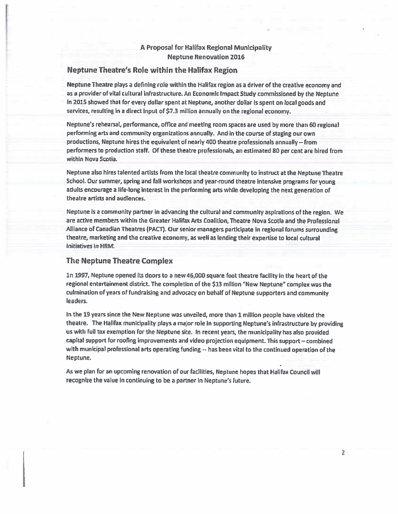## Neptune Theatre's Role within the Halifax Region

Neptune Theatre plays a defining role within the Halifax region as a driver of the creative economy and as a provider of vital cultural infrastructure. An Economic Impact Study commissioned by the Neptune in 2015 showed that for every dollar spent at Neptune, another dollar is spent on local goods and services, resulting in a direct input of \$7.3 million annually on the regional economy.

Neptune's rehearsal, performance, office and meeting room spaces are used by more than 60 regional performing arts and community organizations annually. And in the course of staging our own productions, Neptune hires the equivalent of nearly 400 theatre professionals annually -- from performers to production staff. Of these theatre professionals, an estimated 80 per cent are hired from within Nova Scotia.

Neptune also hires talented artists from the local theatre community to instruct at the Neptune Theatre School. Our summer, spring and fall workshops and year-round theatre intensive programs for young adults encourage a life-long interest in the performing arts while developing the next generation of theatre artists and audiences.

Neptune is a community partner in advancing the cultural and community aspirations of the region. We are active members within the Greater Halifax Arts Coalition, Theatre Nova Scotla and the Professional Alliance of Canadian Theatres (PACT). Our senior managers participate in regional forums surrounding theatre, marketing and the creative economy, as well as lending their expertise to local cultural initiatives in HRM.

## **The Neptune Theatre Complex**

1n 1997, Neptune opened its doors to a new 46,000 square foot theatre facility in the heart of the regional entertainment district. The completion of the \$13 million "New Neptune" complex was the culmination of years of fundraising and advocacy on behalf of Neptune supporters and community leaders.

In the 19 years since the New Neptune was unveiled, more than 1 million people have visited the theatre. The Halifax municipality plays a major role in supporting Neptune's infrastructure by providing us with full tax exemption for the Neptune site. In recent years, the municipality has also provided capital support for roofing improvements and video projection equipment. This support – combined with municipal professional arts operating funding -- has been vital to the continued operation of the Neptune.

As we plan for an upcoming renovation of our facilities, Neptune hopes that Halifax Council will recognize the value in continuing to be a partner in Neptune's future.

ż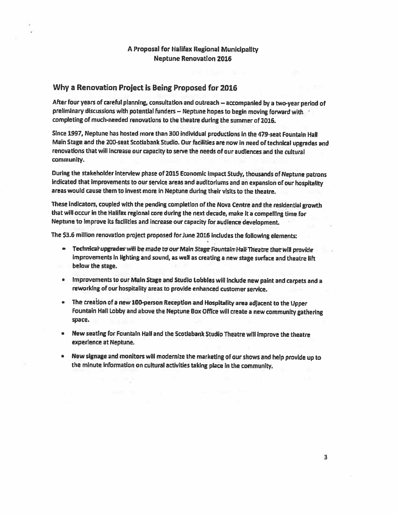## Why a Renovation Project is Being Proposed for 2016

After four years of careful planning, consultation and outreach -- accompanied by a two-year period of preliminary discussions with potential funders -- Neptune hopes to begin moving forward with completing of much-needed renovations to the theatre during the summer of 2016.

Since 1997, Neptune has hosted more than 300 individual productions in the 479-seat Fountain Hall Main Stage and the 200-seat Scotiabank Studio. Our facilities are now in need of technical upgrades and renovations that will increase our capacity to serve the needs of our audiences and the cultural community.

During the stakeholder interview phase of 2015 Economic Impact Study, thousands of Neptune patrons indicated that improvements to our service areas and auditoriums and an expansion of our hospitality areas would cause them to invest more in Neptune during their visits to the theatre.

These indicators, coupled with the pending completion of the Nova Centre and the residential growth that will occur in the Halifax regional core during the next decade, make it a compelling time for Neptune to improve its facilities and increase our capacity for audience development.

The \$3.6 million renovation project proposed for June 2016 includes the following elements:

- Technical upgrades will be made to our Main Stage Fountain Hall Theatre that will provide improvements in lighting and sound, as well as creating a new stage surface and theatre lift below the stage.
- Improvements to our Main Stage and Studio Lobbies will include new paint and carpets and a  $\bullet$ reworking of our hospitality areas to provide enhanced customer service.
- The creation of a new 100-person Reception and Hospitality area adjacent to the Upper Fountain Hall Lobby and above the Neptune Box Office will create a new community gathering space.
- $\bullet$ New seating for Fountain Hall and the Scotiabank Studio Theatre will improve the theatre experience at Neptune.
- New signage and monitors will modernize the marketing of our shows and help provide up to  $\bullet$ the minute information on cultural activities taking place in the community.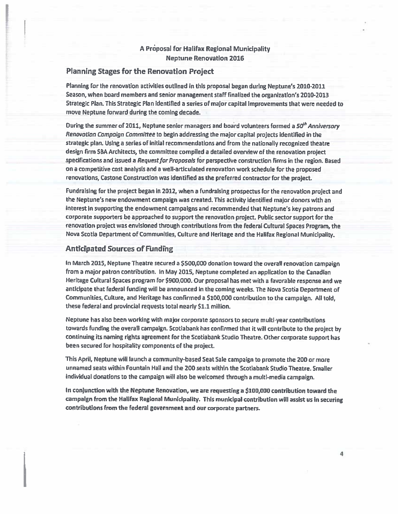## **Planning Stages for the Renovation Project**

Planning for the renovation activities outlined in this proposal began during Neptune's 2010-2011 Season, when board members and senior management staff finalized the organization's 2010-2013 Strategic Plan. This Strategic Plan identified a series of major capital improvements that were needed to move Neptune forward during the coming decade.

During the summer of 2011, Neptune senior managers and board volunteers formed a 50<sup>th</sup> Anniversory Renovation Campaign Committee to begin addressing the major capital projects identified in the strategic plan. Using a series of initial recommendations and from the nationally recognized theatre design firm SBA Architects, the committee compiled a detailed overview of the renovation project specifications and issued a Request for Proposals for perspective construction firms in the region. Based on a competitive cost analysis and a well-articulated renovation work schedule for the proposed renovations, Castone Construction was identified as the preferred contractor for the project.

Fundraising for the project began in 2012, when a fundralsing prospectus for the renovation project and the Neptune's new endowment campaign was created. This activity identified major donors with an interest in supporting the endowment campaigns and recommended that Neptune's key patrons and corporate supporters be approached to support the renovation project. Public sector support for the renovation project was envisioned through contributions from the federal Cultural Spaces Program, the Nova Scotia Department of Communities, Culture and Heritage and the Halifax Regional Municipality.

#### **Anticipated Sources of Funding**

In March 2015, Neptune Theatre secured a \$500,000 donation toward the overall renovation campaign from a major patron contribution. In May 2015, Neptune completed an application to the Canadian Heritage Cultural Spaces program for \$900,000. Our proposal has met with a favorable response and we anticipate that federal funding will be announced in the coming weeks. The Nova Scotia Department of Communities, Culture, and Heritage has confirmed a \$100,000 contribution to the campaign. All told, these federal and provincial requests total nearly \$1.1 million.

Neptune has also been working with major corporate sponsors to secure multi-year contributions towards funding the overall campaign. Scotiabank has confirmed that it will contribute to the project by continuing its naming rights agreement for the Scotiabank Studio Theatre. Other corporate support has been secured for hospitality components of the project.

This April, Neptune will launch a community-based Seat Sale campaign to promote the 200 or more unnamed seats within Fountain Hall and the 200 seats within the Scotiabank Studio Theatre. Smaller individual donations to the campaign will also be welcomed through a multi-media campaign.

In conjunction with the Neptune Renovation, we are requesting a \$100,000 contribution toward the campaign from the Halifax Regional Municipality. This municipal contribution will assist us in securing contributions from the federal government and our corporate partners.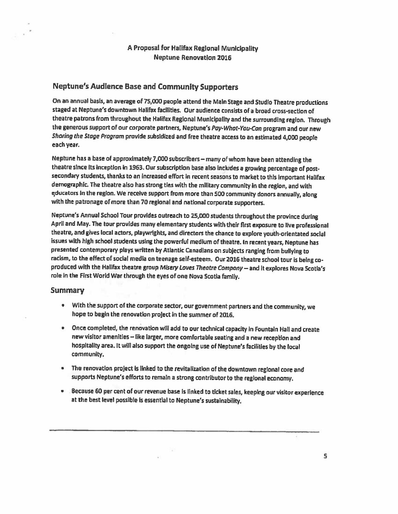## **Neptune's Audience Base and Community Supporters**

On an annual basis, an average of 75,000 people attend the Main Stage and Studio Theatre productions staged at Neptune's downtown Halifax facilities. Our audience consists of a broad cross-section of theatre patrons from throughout the Halifax Regional Municipality and the surrounding region. Through the generous support of our corporate partners, Neptune's Pay-What-You-Can program and our new Sharing the Stage Program provide subsidized and free theatre access to an estimated 4,000 people each year.

Neptune has a base of approximately 7,000 subscribers - many of whom have been attending the theatre since its inception in 1963. Our subscription base also includes a growing percentage of postsecondary students, thanks to an increased effort in recent seasons to market to this important Halifax demographic. The theatre also has strong ties with the military community in the region, and with educators in the region. We receive support from more than 500 community donors annually, along with the patronage of more than 70 regional and national corporate supporters.

Neptune's Annual School Tour provides outreach to 25,000 students throughout the province during April and May. The tour provides many elementary students with their first exposure to live professional theatre, and gives local actors, playwrights, and directors the chance to explore youth-orientated social issues with high school students using the powerful medium of theatre. In recent years, Neptune has presented contemporary plays written by Atlantic Canadians on subjects ranging from bullying to racism, to the effect of social media on teenage self-esteem. Our 2016 theatre school tour is being coproduced with the Hallfax theatre group Misery Loves Theatre Company - and it explores Nova Scotia's role in the First World War through the eyes of one Nova Scotia family.

## Summary

- With the support of the corporate sector, our government partners and the community, we hope to begin the renovation project in the summer of 2016.
- Once completed, the renovation will add to our technical capacity in Fountain Hall and create new visitor amenities - like larger, more comfortable seating and a new reception and hospitality area. It will also support the ongoing use of Neptune's facilities by the local community.
- The renovation project is linked to the revitalization of the downtown regional core and supports Neptune's efforts to remain a strong contributor to the regional economy.
- . Because 60 per cent of our revenue base is linked to ticket sales, keeping our visitor experience at the best level possible is essential to Neptune's sustainability.

s